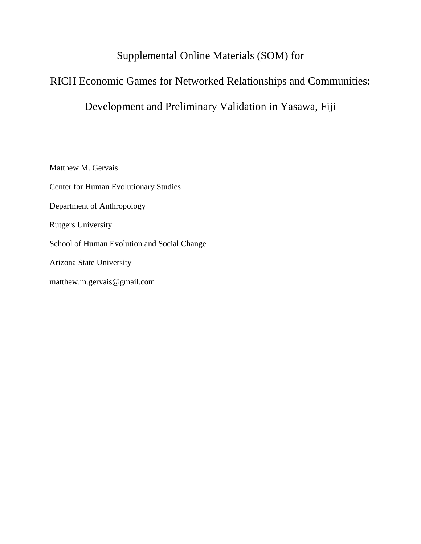## Supplemental Online Materials (SOM) for

# RICH Economic Games for Networked Relationships and Communities:

## Development and Preliminary Validation in Yasawa, Fiji

Matthew M. Gervais Center for Human Evolutionary Studies Department of Anthropology Rutgers University School of Human Evolution and Social Change Arizona State University matthew.m.gervais@gmail.com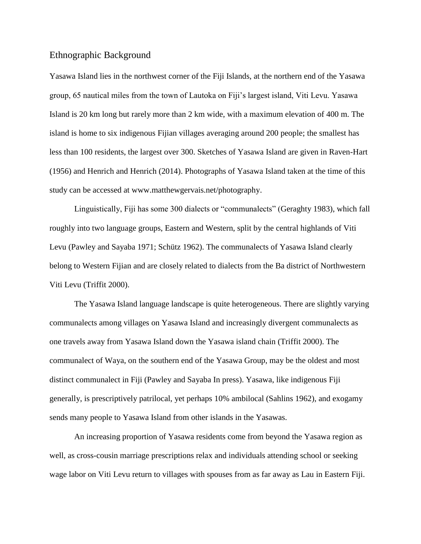## Ethnographic Background

Yasawa Island lies in the northwest corner of the Fiji Islands, at the northern end of the Yasawa group, 65 nautical miles from the town of Lautoka on Fiji's largest island, Viti Levu. Yasawa Island is 20 km long but rarely more than 2 km wide, with a maximum elevation of 400 m. The island is home to six indigenous Fijian villages averaging around 200 people; the smallest has less than 100 residents, the largest over 300. Sketches of Yasawa Island are given in Raven-Hart (1956) and Henrich and Henrich (2014). Photographs of Yasawa Island taken at the time of this study can be accessed at [www.matthewgervais.net/photography.](http://www.matthewgervais.net/photography)

Linguistically, Fiji has some 300 dialects or "communalects" (Geraghty 1983), which fall roughly into two language groups, Eastern and Western, split by the central highlands of Viti Levu (Pawley and Sayaba 1971; Schütz 1962). The communalects of Yasawa Island clearly belong to Western Fijian and are closely related to dialects from the Ba district of Northwestern Viti Levu (Triffit 2000).

The Yasawa Island language landscape is quite heterogeneous. There are slightly varying communalects among villages on Yasawa Island and increasingly divergent communalects as one travels away from Yasawa Island down the Yasawa island chain (Triffit 2000). The communalect of Waya, on the southern end of the Yasawa Group, may be the oldest and most distinct communalect in Fiji (Pawley and Sayaba In press). Yasawa, like indigenous Fiji generally, is prescriptively patrilocal, yet perhaps 10% ambilocal (Sahlins 1962), and exogamy sends many people to Yasawa Island from other islands in the Yasawas.

An increasing proportion of Yasawa residents come from beyond the Yasawa region as well, as cross-cousin marriage prescriptions relax and individuals attending school or seeking wage labor on Viti Levu return to villages with spouses from as far away as Lau in Eastern Fiji.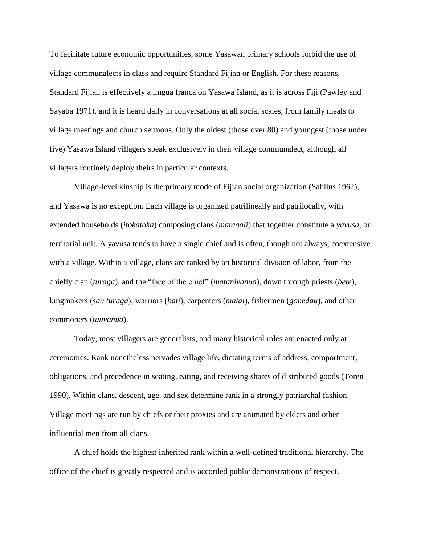To facilitate future economic opportunities, some Yasawan primary schools forbid the use of village communalects in class and require Standard Fijian or English. For these reasons, Standard Fijian is effectively a lingua franca on Yasawa Island, as it is across Fiji (Pawley and Sayaba 1971), and it is heard daily in conversations at all social scales, from family meals to village meetings and church sermons. Only the oldest (those over 80) and youngest (those under five) Yasawa Island villagers speak exclusively in their village communalect, although all villagers routinely deploy theirs in particular contexts.

Village-level kinship is the primary mode of Fijian social organization (Sahlins 1962), and Yasawa is no exception. Each village is organized patrilineally and patrilocally, with extended households (*itokatoka*) composing clans (*mataqali*) that together constitute a *yavusa*, or territorial unit. A yavusa tends to have a single chief and is often, though not always, coextensive with a village. Within a village, clans are ranked by an historical division of labor, from the chiefly clan (*turaga*), and the "face of the chief" (*matanivanua*), down through priests (*bete*), kingmakers (*sau turaga*), warriors (*bati*), carpenters (*matai*), fishermen (*gonedau*), and other commoners (*tauvanua*).

Today, most villagers are generalists, and many historical roles are enacted only at ceremonies. Rank nonetheless pervades village life, dictating terms of address, comportment, obligations, and precedence in seating, eating, and receiving shares of distributed goods (Toren 1990). Within clans, descent, age, and sex determine rank in a strongly patriarchal fashion. Village meetings are run by chiefs or their proxies and are animated by elders and other influential men from all clans.

A chief holds the highest inherited rank within a well-defined traditional hierarchy. The office of the chief is greatly respected and is accorded public demonstrations of respect,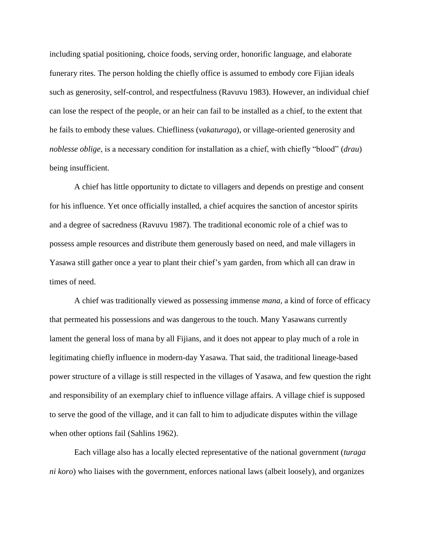including spatial positioning, choice foods, serving order, honorific language, and elaborate funerary rites. The person holding the chiefly office is assumed to embody core Fijian ideals such as generosity, self-control, and respectfulness (Ravuvu 1983). However, an individual chief can lose the respect of the people, or an heir can fail to be installed as a chief, to the extent that he fails to embody these values. Chiefliness (*vakaturaga*), or village-oriented generosity and *noblesse oblige*, is a necessary condition for installation as a chief, with chiefly "blood" (*drau*) being insufficient.

A chief has little opportunity to dictate to villagers and depends on prestige and consent for his influence. Yet once officially installed, a chief acquires the sanction of ancestor spirits and a degree of sacredness (Ravuvu 1987). The traditional economic role of a chief was to possess ample resources and distribute them generously based on need, and male villagers in Yasawa still gather once a year to plant their chief's yam garden, from which all can draw in times of need.

A chief was traditionally viewed as possessing immense *mana*, a kind of force of efficacy that permeated his possessions and was dangerous to the touch. Many Yasawans currently lament the general loss of mana by all Fijians, and it does not appear to play much of a role in legitimating chiefly influence in modern-day Yasawa. That said, the traditional lineage-based power structure of a village is still respected in the villages of Yasawa, and few question the right and responsibility of an exemplary chief to influence village affairs. A village chief is supposed to serve the good of the village, and it can fall to him to adjudicate disputes within the village when other options fail (Sahlins 1962).

Each village also has a locally elected representative of the national government (*turaga ni koro*) who liaises with the government, enforces national laws (albeit loosely), and organizes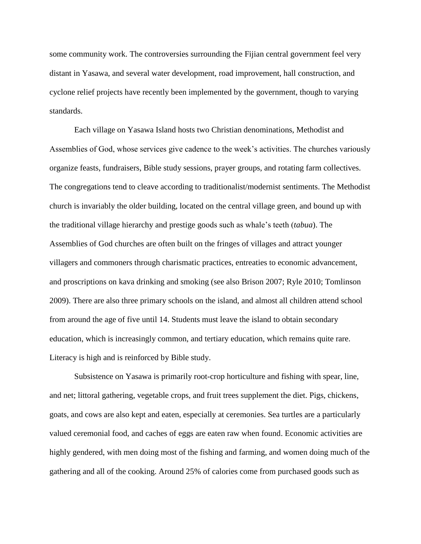some community work. The controversies surrounding the Fijian central government feel very distant in Yasawa, and several water development, road improvement, hall construction, and cyclone relief projects have recently been implemented by the government, though to varying standards.

Each village on Yasawa Island hosts two Christian denominations, Methodist and Assemblies of God, whose services give cadence to the week's activities. The churches variously organize feasts, fundraisers, Bible study sessions, prayer groups, and rotating farm collectives. The congregations tend to cleave according to traditionalist/modernist sentiments. The Methodist church is invariably the older building, located on the central village green, and bound up with the traditional village hierarchy and prestige goods such as whale's teeth (*tabua*). The Assemblies of God churches are often built on the fringes of villages and attract younger villagers and commoners through charismatic practices, entreaties to economic advancement, and proscriptions on kava drinking and smoking (see also Brison 2007; Ryle 2010; Tomlinson 2009). There are also three primary schools on the island, and almost all children attend school from around the age of five until 14. Students must leave the island to obtain secondary education, which is increasingly common, and tertiary education, which remains quite rare. Literacy is high and is reinforced by Bible study.

Subsistence on Yasawa is primarily root-crop horticulture and fishing with spear, line, and net; littoral gathering, vegetable crops, and fruit trees supplement the diet. Pigs, chickens, goats, and cows are also kept and eaten, especially at ceremonies. Sea turtles are a particularly valued ceremonial food, and caches of eggs are eaten raw when found. Economic activities are highly gendered, with men doing most of the fishing and farming, and women doing much of the gathering and all of the cooking. Around 25% of calories come from purchased goods such as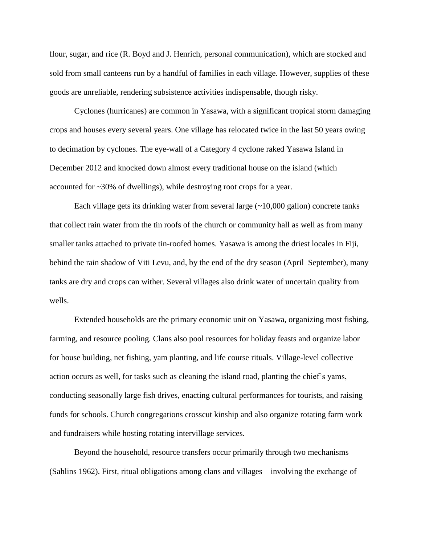flour, sugar, and rice (R. Boyd and J. Henrich, personal communication), which are stocked and sold from small canteens run by a handful of families in each village. However, supplies of these goods are unreliable, rendering subsistence activities indispensable, though risky.

Cyclones (hurricanes) are common in Yasawa, with a significant tropical storm damaging crops and houses every several years. One village has relocated twice in the last 50 years owing to decimation by cyclones. The eye-wall of a Category 4 cyclone raked Yasawa Island in December 2012 and knocked down almost every traditional house on the island (which accounted for ~30% of dwellings), while destroying root crops for a year.

Each village gets its drinking water from several large  $(\sim 10,000)$  gallon) concrete tanks that collect rain water from the tin roofs of the church or community hall as well as from many smaller tanks attached to private tin-roofed homes. Yasawa is among the driest locales in Fiji, behind the rain shadow of Viti Levu, and, by the end of the dry season (April–September), many tanks are dry and crops can wither. Several villages also drink water of uncertain quality from wells.

Extended households are the primary economic unit on Yasawa, organizing most fishing, farming, and resource pooling. Clans also pool resources for holiday feasts and organize labor for house building, net fishing, yam planting, and life course rituals. Village-level collective action occurs as well, for tasks such as cleaning the island road, planting the chief's yams, conducting seasonally large fish drives, enacting cultural performances for tourists, and raising funds for schools. Church congregations crosscut kinship and also organize rotating farm work and fundraisers while hosting rotating intervillage services.

Beyond the household, resource transfers occur primarily through two mechanisms (Sahlins 1962). First, ritual obligations among clans and villages—involving the exchange of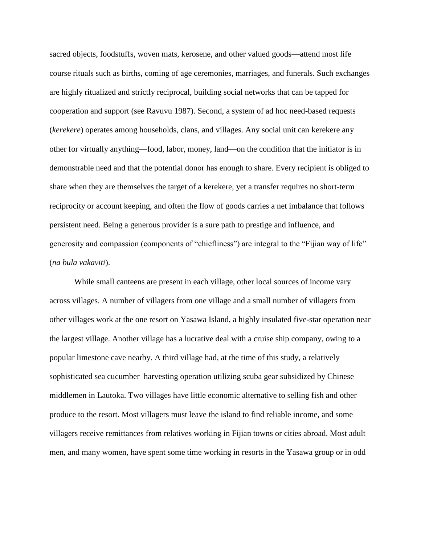sacred objects, foodstuffs, woven mats, kerosene, and other valued goods—attend most life course rituals such as births, coming of age ceremonies, marriages, and funerals. Such exchanges are highly ritualized and strictly reciprocal, building social networks that can be tapped for cooperation and support (see Ravuvu 1987). Second, a system of ad hoc need-based requests (*kerekere*) operates among households, clans, and villages. Any social unit can kerekere any other for virtually anything—food, labor, money, land—on the condition that the initiator is in demonstrable need and that the potential donor has enough to share. Every recipient is obliged to share when they are themselves the target of a kerekere, yet a transfer requires no short-term reciprocity or account keeping, and often the flow of goods carries a net imbalance that follows persistent need. Being a generous provider is a sure path to prestige and influence, and generosity and compassion (components of "chiefliness") are integral to the "Fijian way of life" (*na bula vakaviti*).

While small canteens are present in each village, other local sources of income vary across villages. A number of villagers from one village and a small number of villagers from other villages work at the one resort on Yasawa Island, a highly insulated five-star operation near the largest village. Another village has a lucrative deal with a cruise ship company, owing to a popular limestone cave nearby. A third village had, at the time of this study, a relatively sophisticated sea cucumber–harvesting operation utilizing scuba gear subsidized by Chinese middlemen in Lautoka. Two villages have little economic alternative to selling fish and other produce to the resort. Most villagers must leave the island to find reliable income, and some villagers receive remittances from relatives working in Fijian towns or cities abroad. Most adult men, and many women, have spent some time working in resorts in the Yasawa group or in odd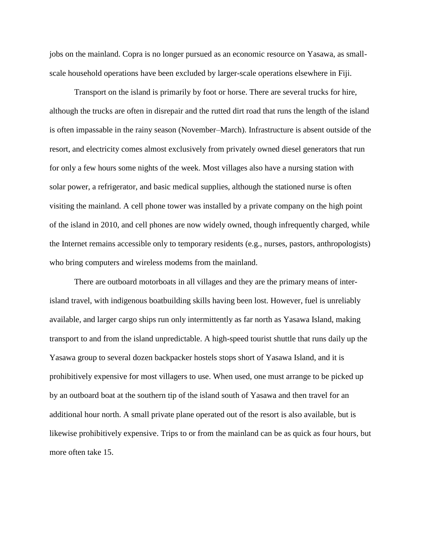jobs on the mainland. Copra is no longer pursued as an economic resource on Yasawa, as smallscale household operations have been excluded by larger-scale operations elsewhere in Fiji.

Transport on the island is primarily by foot or horse. There are several trucks for hire, although the trucks are often in disrepair and the rutted dirt road that runs the length of the island is often impassable in the rainy season (November–March). Infrastructure is absent outside of the resort, and electricity comes almost exclusively from privately owned diesel generators that run for only a few hours some nights of the week. Most villages also have a nursing station with solar power, a refrigerator, and basic medical supplies, although the stationed nurse is often visiting the mainland. A cell phone tower was installed by a private company on the high point of the island in 2010, and cell phones are now widely owned, though infrequently charged, while the Internet remains accessible only to temporary residents (e.g., nurses, pastors, anthropologists) who bring computers and wireless modems from the mainland.

There are outboard motorboats in all villages and they are the primary means of interisland travel, with indigenous boatbuilding skills having been lost. However, fuel is unreliably available, and larger cargo ships run only intermittently as far north as Yasawa Island, making transport to and from the island unpredictable. A high-speed tourist shuttle that runs daily up the Yasawa group to several dozen backpacker hostels stops short of Yasawa Island, and it is prohibitively expensive for most villagers to use. When used, one must arrange to be picked up by an outboard boat at the southern tip of the island south of Yasawa and then travel for an additional hour north. A small private plane operated out of the resort is also available, but is likewise prohibitively expensive. Trips to or from the mainland can be as quick as four hours, but more often take 15.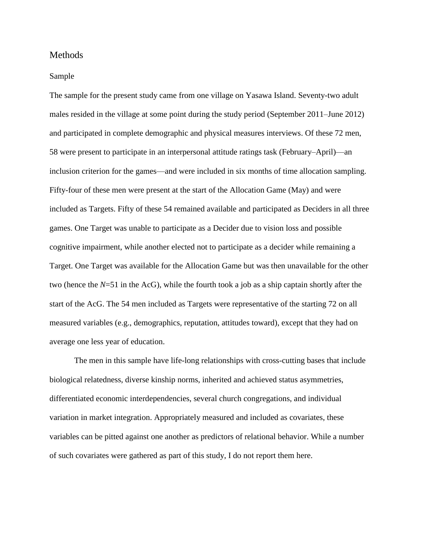## Methods

#### Sample

The sample for the present study came from one village on Yasawa Island. Seventy-two adult males resided in the village at some point during the study period (September 2011–June 2012) and participated in complete demographic and physical measures interviews. Of these 72 men, 58 were present to participate in an interpersonal attitude ratings task (February–April)—an inclusion criterion for the games—and were included in six months of time allocation sampling. Fifty-four of these men were present at the start of the Allocation Game (May) and were included as Targets. Fifty of these 54 remained available and participated as Deciders in all three games. One Target was unable to participate as a Decider due to vision loss and possible cognitive impairment, while another elected not to participate as a decider while remaining a Target. One Target was available for the Allocation Game but was then unavailable for the other two (hence the *N*=51 in the AcG), while the fourth took a job as a ship captain shortly after the start of the AcG. The 54 men included as Targets were representative of the starting 72 on all measured variables (e.g., demographics, reputation, attitudes toward), except that they had on average one less year of education.

The men in this sample have life-long relationships with cross-cutting bases that include biological relatedness, diverse kinship norms, inherited and achieved status asymmetries, differentiated economic interdependencies, several church congregations, and individual variation in market integration. Appropriately measured and included as covariates, these variables can be pitted against one another as predictors of relational behavior. While a number of such covariates were gathered as part of this study, I do not report them here.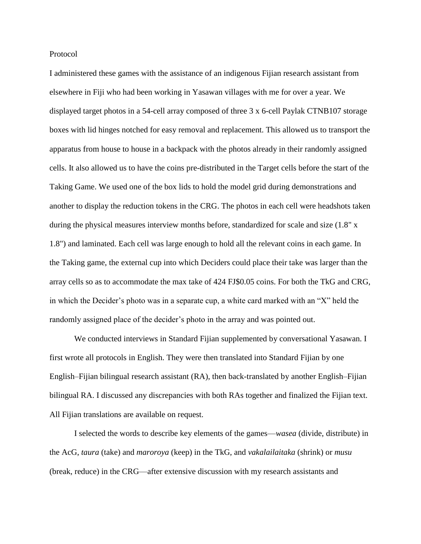Protocol

I administered these games with the assistance of an indigenous Fijian research assistant from elsewhere in Fiji who had been working in Yasawan villages with me for over a year. We displayed target photos in a 54-cell array composed of three 3 x 6-cell Paylak CTNB107 storage boxes with lid hinges notched for easy removal and replacement. This allowed us to transport the apparatus from house to house in a backpack with the photos already in their randomly assigned cells. It also allowed us to have the coins pre-distributed in the Target cells before the start of the Taking Game. We used one of the box lids to hold the model grid during demonstrations and another to display the reduction tokens in the CRG. The photos in each cell were headshots taken during the physical measures interview months before, standardized for scale and size (1.8" x 1.8") and laminated. Each cell was large enough to hold all the relevant coins in each game. In the Taking game, the external cup into which Deciders could place their take was larger than the array cells so as to accommodate the max take of 424 FJ\$0.05 coins. For both the TkG and CRG, in which the Decider's photo was in a separate cup, a white card marked with an "X" held the randomly assigned place of the decider's photo in the array and was pointed out.

We conducted interviews in Standard Fijian supplemented by conversational Yasawan. I first wrote all protocols in English. They were then translated into Standard Fijian by one English–Fijian bilingual research assistant (RA), then back-translated by another English–Fijian bilingual RA. I discussed any discrepancies with both RAs together and finalized the Fijian text. All Fijian translations are available on request.

I selected the words to describe key elements of the games—*wasea* (divide, distribute) in the AcG, *taura* (take) and *maroroya* (keep) in the TkG, and *vakalailaitaka* (shrink) or *musu*  (break, reduce) in the CRG—after extensive discussion with my research assistants and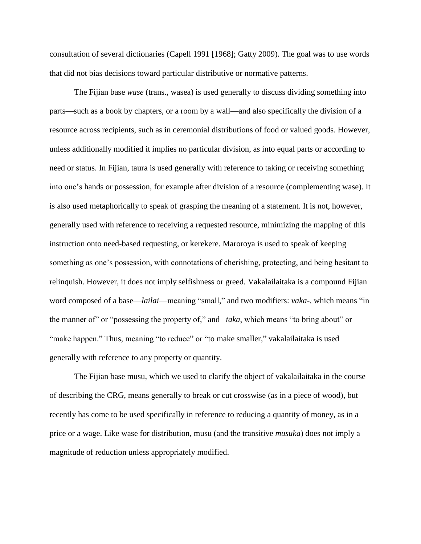consultation of several dictionaries (Capell 1991 [1968]; Gatty 2009). The goal was to use words that did not bias decisions toward particular distributive or normative patterns.

The Fijian base *wase* (trans., wasea) is used generally to discuss dividing something into parts—such as a book by chapters, or a room by a wall—and also specifically the division of a resource across recipients, such as in ceremonial distributions of food or valued goods. However, unless additionally modified it implies no particular division, as into equal parts or according to need or status. In Fijian, taura is used generally with reference to taking or receiving something into one's hands or possession, for example after division of a resource (complementing wase). It is also used metaphorically to speak of grasping the meaning of a statement. It is not, however, generally used with reference to receiving a requested resource, minimizing the mapping of this instruction onto need-based requesting, or kerekere. Maroroya is used to speak of keeping something as one's possession, with connotations of cherishing, protecting, and being hesitant to relinquish. However, it does not imply selfishness or greed. Vakalailaitaka is a compound Fijian word composed of a base—*lailai*—meaning "small," and two modifiers: *vaka-*, which means "in the manner of" or "possessing the property of," and *-taka*, which means "to bring about" or "make happen." Thus, meaning "to reduce" or "to make smaller," vakalailaitaka is used generally with reference to any property or quantity.

The Fijian base musu, which we used to clarify the object of vakalailaitaka in the course of describing the CRG, means generally to break or cut crosswise (as in a piece of wood), but recently has come to be used specifically in reference to reducing a quantity of money, as in a price or a wage. Like wase for distribution, musu (and the transitive *musuka*) does not imply a magnitude of reduction unless appropriately modified.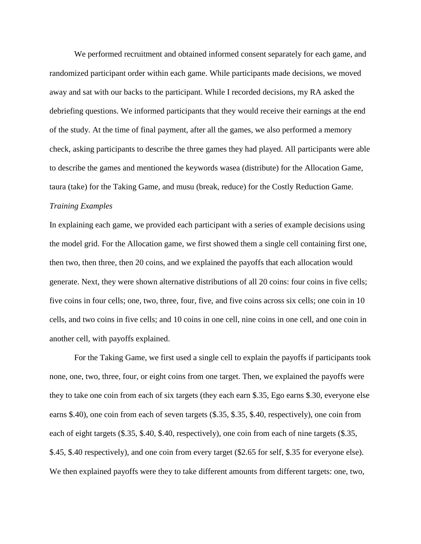We performed recruitment and obtained informed consent separately for each game, and randomized participant order within each game. While participants made decisions, we moved away and sat with our backs to the participant. While I recorded decisions, my RA asked the debriefing questions. We informed participants that they would receive their earnings at the end of the study. At the time of final payment, after all the games, we also performed a memory check, asking participants to describe the three games they had played. All participants were able to describe the games and mentioned the keywords wasea (distribute) for the Allocation Game, taura (take) for the Taking Game, and musu (break, reduce) for the Costly Reduction Game. *Training Examples*

In explaining each game, we provided each participant with a series of example decisions using the model grid. For the Allocation game, we first showed them a single cell containing first one, then two, then three, then 20 coins, and we explained the payoffs that each allocation would generate. Next, they were shown alternative distributions of all 20 coins: four coins in five cells; five coins in four cells; one, two, three, four, five, and five coins across six cells; one coin in 10 cells, and two coins in five cells; and 10 coins in one cell, nine coins in one cell, and one coin in another cell, with payoffs explained.

For the Taking Game, we first used a single cell to explain the payoffs if participants took none, one, two, three, four, or eight coins from one target. Then, we explained the payoffs were they to take one coin from each of six targets (they each earn \$.35, Ego earns \$.30, everyone else earns \$.40), one coin from each of seven targets (\$.35, \$.35, \$.40, respectively), one coin from each of eight targets (\$.35, \$.40, \$.40, respectively), one coin from each of nine targets (\$.35, \$.45, \$.40 respectively), and one coin from every target (\$2.65 for self, \$.35 for everyone else). We then explained payoffs were they to take different amounts from different targets: one, two,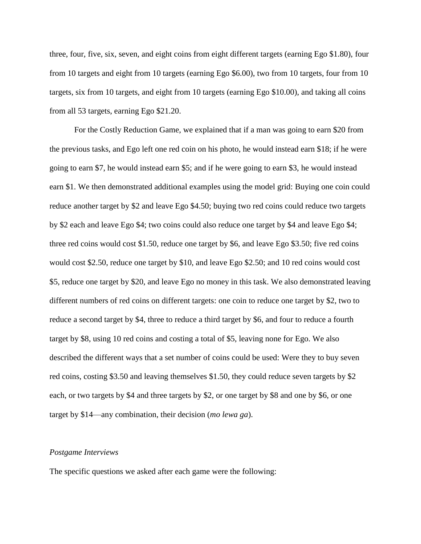three, four, five, six, seven, and eight coins from eight different targets (earning Ego \$1.80), four from 10 targets and eight from 10 targets (earning Ego \$6.00), two from 10 targets, four from 10 targets, six from 10 targets, and eight from 10 targets (earning Ego \$10.00), and taking all coins from all 53 targets, earning Ego \$21.20.

For the Costly Reduction Game, we explained that if a man was going to earn \$20 from the previous tasks, and Ego left one red coin on his photo, he would instead earn \$18; if he were going to earn \$7, he would instead earn \$5; and if he were going to earn \$3, he would instead earn \$1. We then demonstrated additional examples using the model grid: Buying one coin could reduce another target by \$2 and leave Ego \$4.50; buying two red coins could reduce two targets by \$2 each and leave Ego \$4; two coins could also reduce one target by \$4 and leave Ego \$4; three red coins would cost \$1.50, reduce one target by \$6, and leave Ego \$3.50; five red coins would cost \$2.50, reduce one target by \$10, and leave Ego \$2.50; and 10 red coins would cost \$5, reduce one target by \$20, and leave Ego no money in this task. We also demonstrated leaving different numbers of red coins on different targets: one coin to reduce one target by \$2, two to reduce a second target by \$4, three to reduce a third target by \$6, and four to reduce a fourth target by \$8, using 10 red coins and costing a total of \$5, leaving none for Ego. We also described the different ways that a set number of coins could be used: Were they to buy seven red coins, costing \$3.50 and leaving themselves \$1.50, they could reduce seven targets by \$2 each, or two targets by \$4 and three targets by \$2, or one target by \$8 and one by \$6, or one target by \$14—any combination, their decision (*mo lewa ga*).

#### *Postgame Interviews*

The specific questions we asked after each game were the following: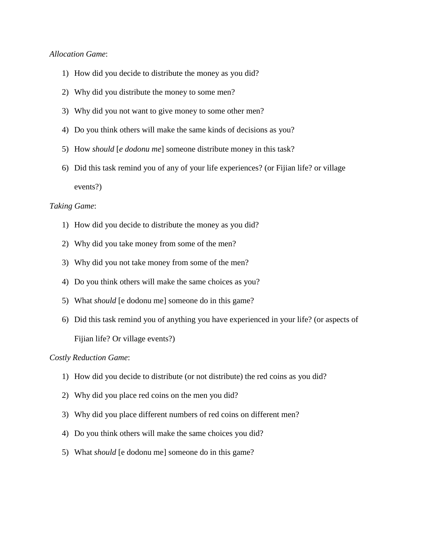## *Allocation Game*:

- 1) How did you decide to distribute the money as you did?
- 2) Why did you distribute the money to some men?
- 3) Why did you not want to give money to some other men?
- 4) Do you think others will make the same kinds of decisions as you?
- 5) How *should* [*e dodonu me*] someone distribute money in this task?
- 6) Did this task remind you of any of your life experiences? (or Fijian life? or village events?)

## *Taking Game*:

- 1) How did you decide to distribute the money as you did?
- 2) Why did you take money from some of the men?
- 3) Why did you not take money from some of the men?
- 4) Do you think others will make the same choices as you?
- 5) What *should* [e dodonu me] someone do in this game?
- 6) Did this task remind you of anything you have experienced in your life? (or aspects of Fijian life? Or village events?)

## *Costly Reduction Game*:

- 1) How did you decide to distribute (or not distribute) the red coins as you did?
- 2) Why did you place red coins on the men you did?
- 3) Why did you place different numbers of red coins on different men?
- 4) Do you think others will make the same choices you did?
- 5) What *should* [e dodonu me] someone do in this game?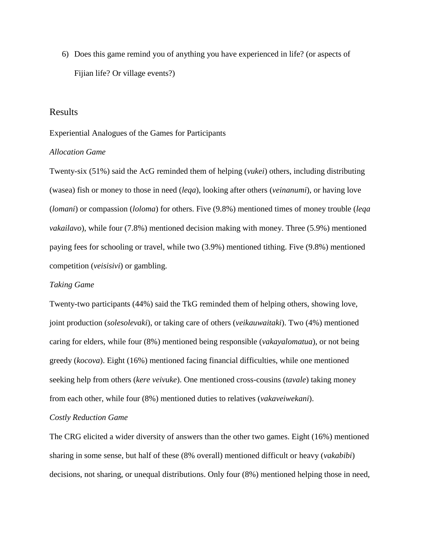6) Does this game remind you of anything you have experienced in life? (or aspects of Fijian life? Or village events?)

## Results

#### Experiential Analogues of the Games for Participants

## *Allocation Game*

Twenty-six (51%) said the AcG reminded them of helping (*vukei*) others, including distributing (wasea) fish or money to those in need (*leqa*), looking after others (*veinanumi*), or having love (*lomani*) or compassion (*loloma*) for others. Five (9.8%) mentioned times of money trouble (*leqa vakailavo*), while four (7.8%) mentioned decision making with money. Three (5.9%) mentioned paying fees for schooling or travel, while two (3.9%) mentioned tithing. Five (9.8%) mentioned competition (*veisisivi*) or gambling.

#### *Taking Game*

Twenty-two participants (44%) said the TkG reminded them of helping others, showing love, joint production (*solesolevaki*), or taking care of others (*veikauwaitaki*). Two (4%) mentioned caring for elders, while four (8%) mentioned being responsible (*vakayalomatua*), or not being greedy (*kocova*). Eight (16%) mentioned facing financial difficulties, while one mentioned seeking help from others (*kere veivuke*). One mentioned cross-cousins (*tavale*) taking money from each other, while four (8%) mentioned duties to relatives (*vakaveiwekani*).

## *Costly Reduction Game*

The CRG elicited a wider diversity of answers than the other two games. Eight (16%) mentioned sharing in some sense, but half of these (8% overall) mentioned difficult or heavy (*vakabibi*) decisions, not sharing, or unequal distributions. Only four (8%) mentioned helping those in need,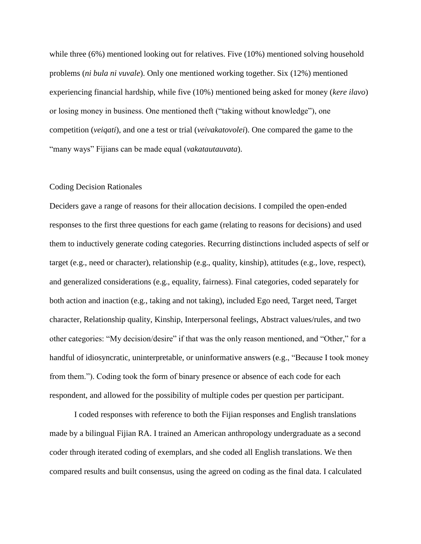while three (6%) mentioned looking out for relatives. Five (10%) mentioned solving household problems (*ni bula ni vuvale*). Only one mentioned working together. Six (12%) mentioned experiencing financial hardship, while five (10%) mentioned being asked for money (*kere ilavo*) or losing money in business. One mentioned theft ("taking without knowledge"), one competition (*veiqati*), and one a test or trial (*veivakatovolei*). One compared the game to the "many ways" Fijians can be made equal (*vakatautauvata*).

#### Coding Decision Rationales

Deciders gave a range of reasons for their allocation decisions. I compiled the open-ended responses to the first three questions for each game (relating to reasons for decisions) and used them to inductively generate coding categories. Recurring distinctions included aspects of self or target (e.g., need or character), relationship (e.g., quality, kinship), attitudes (e.g., love, respect), and generalized considerations (e.g., equality, fairness). Final categories, coded separately for both action and inaction (e.g., taking and not taking), included Ego need, Target need, Target character, Relationship quality, Kinship, Interpersonal feelings, Abstract values/rules, and two other categories: "My decision/desire" if that was the only reason mentioned, and "Other," for a handful of idiosyncratic, uninterpretable, or uninformative answers (e.g., "Because I took money from them."). Coding took the form of binary presence or absence of each code for each respondent, and allowed for the possibility of multiple codes per question per participant.

I coded responses with reference to both the Fijian responses and English translations made by a bilingual Fijian RA. I trained an American anthropology undergraduate as a second coder through iterated coding of exemplars, and she coded all English translations. We then compared results and built consensus, using the agreed on coding as the final data. I calculated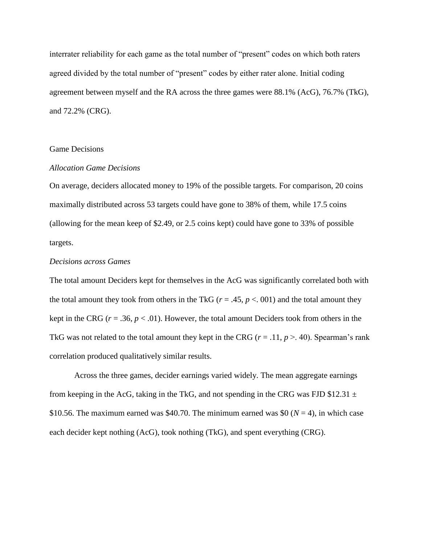interrater reliability for each game as the total number of "present" codes on which both raters agreed divided by the total number of "present" codes by either rater alone. Initial coding agreement between myself and the RA across the three games were 88.1% (AcG), 76.7% (TkG), and 72.2% (CRG).

## Game Decisions

## *Allocation Game Decisions*

On average, deciders allocated money to 19% of the possible targets. For comparison, 20 coins maximally distributed across 53 targets could have gone to 38% of them, while 17.5 coins (allowing for the mean keep of \$2.49, or 2.5 coins kept) could have gone to 33% of possible targets.

## *Decisions across Games*

The total amount Deciders kept for themselves in the AcG was significantly correlated both with the total amount they took from others in the TkG ( $r = .45$ ,  $p < .001$ ) and the total amount they kept in the CRG ( $r = .36$ ,  $p < .01$ ). However, the total amount Deciders took from others in the TkG was not related to the total amount they kept in the CRG  $(r = .11, p > .40)$ . Spearman's rank correlation produced qualitatively similar results.

Across the three games, decider earnings varied widely. The mean aggregate earnings from keeping in the AcG, taking in the TkG, and not spending in the CRG was FJD \$12.31  $\pm$ \$10.56. The maximum earned was \$40.70. The minimum earned was \$0 ( $N = 4$ ), in which case each decider kept nothing (AcG), took nothing (TkG), and spent everything (CRG).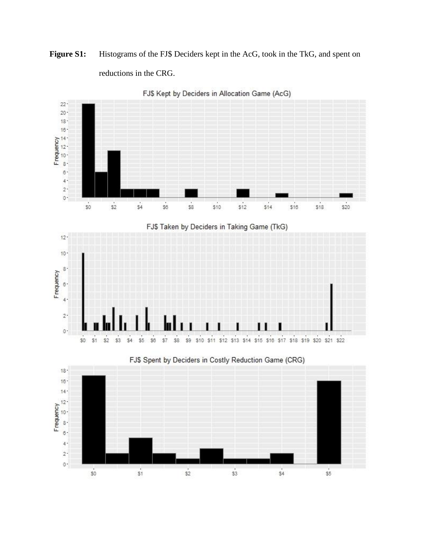# Figure S1: Histograms of the FJ\$ Deciders kept in the AcG, took in the TkG, and spent on reductions in the CRG.



FJ\$ Kept by Deciders in Allocation Game (AcG)

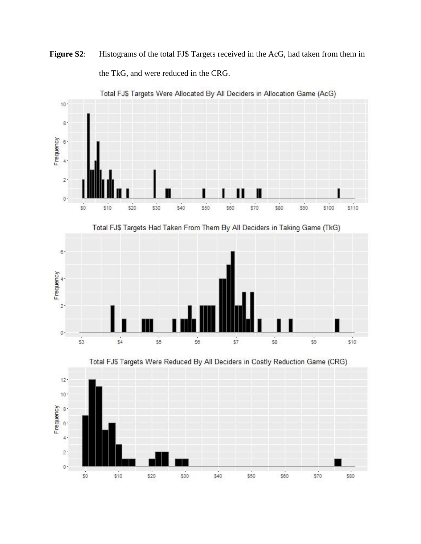Figure S2: Histograms of the total FJ\$ Targets received in the AcG, had taken from them in the TkG, and were reduced in the CRG.



Total FJ\$ Targets Were Allocated By All Deciders in Allocation Game (AcG)







Total FJ\$ Targets Had Taken From Them By All Deciders in Taking Game (TkG)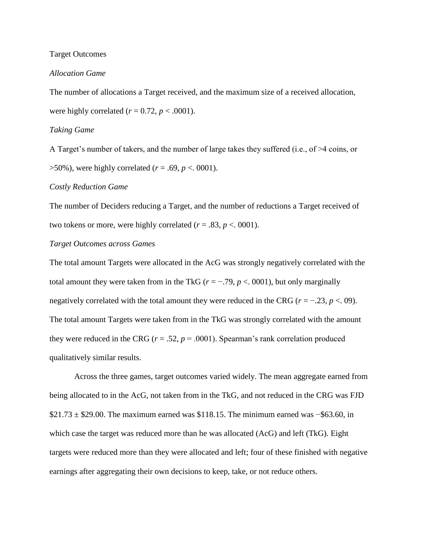#### Target Outcomes

#### *Allocation Game*

The number of allocations a Target received, and the maximum size of a received allocation, were highly correlated  $(r = 0.72, p < .0001)$ .

#### *Taking Game*

A Target's number of takers, and the number of large takes they suffered (i.e., of >4 coins, or >50%), were highly correlated (*r* = .69, *p* <. 0001).

## *Costly Reduction Game*

The number of Deciders reducing a Target, and the number of reductions a Target received of two tokens or more, were highly correlated  $(r = .83, p < .0001)$ .

#### *Target Outcomes across Games*

The total amount Targets were allocated in the AcG was strongly negatively correlated with the total amount they were taken from in the TkG ( $r = -0.79$ ,  $p < 0.001$ ), but only marginally negatively correlated with the total amount they were reduced in the CRG ( $r = -23$ ,  $p < 09$ ). The total amount Targets were taken from in the TkG was strongly correlated with the amount they were reduced in the CRG ( $r = .52$ ,  $p = .0001$ ). Spearman's rank correlation produced qualitatively similar results.

Across the three games, target outcomes varied widely. The mean aggregate earned from being allocated to in the AcG, not taken from in the TkG, and not reduced in the CRG was FJD  $$21.73 \pm $29.00$ . The maximum earned was \$118.15. The minimum earned was −\$63.60, in which case the target was reduced more than he was allocated (AcG) and left (TkG). Eight targets were reduced more than they were allocated and left; four of these finished with negative earnings after aggregating their own decisions to keep, take, or not reduce others.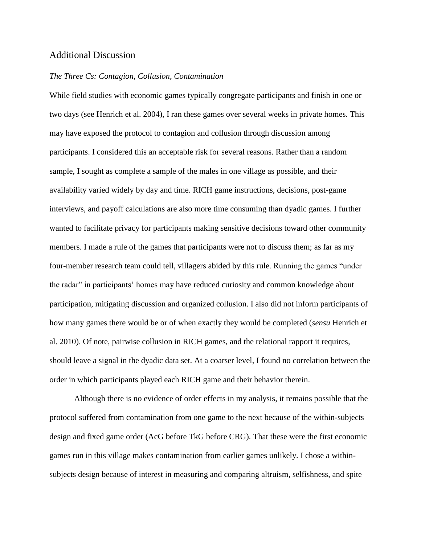## Additional Discussion

#### *The Three Cs: Contagion, Collusion, Contamination*

While field studies with economic games typically congregate participants and finish in one or two days (see Henrich et al. 2004), I ran these games over several weeks in private homes. This may have exposed the protocol to contagion and collusion through discussion among participants. I considered this an acceptable risk for several reasons. Rather than a random sample, I sought as complete a sample of the males in one village as possible, and their availability varied widely by day and time. RICH game instructions, decisions, post-game interviews, and payoff calculations are also more time consuming than dyadic games. I further wanted to facilitate privacy for participants making sensitive decisions toward other community members. I made a rule of the games that participants were not to discuss them; as far as my four-member research team could tell, villagers abided by this rule. Running the games "under the radar" in participants' homes may have reduced curiosity and common knowledge about participation, mitigating discussion and organized collusion. I also did not inform participants of how many games there would be or of when exactly they would be completed (*sensu* Henrich et al. 2010). Of note, pairwise collusion in RICH games, and the relational rapport it requires, should leave a signal in the dyadic data set. At a coarser level, I found no correlation between the order in which participants played each RICH game and their behavior therein.

Although there is no evidence of order effects in my analysis, it remains possible that the protocol suffered from contamination from one game to the next because of the within-subjects design and fixed game order (AcG before TkG before CRG). That these were the first economic games run in this village makes contamination from earlier games unlikely. I chose a withinsubjects design because of interest in measuring and comparing altruism, selfishness, and spite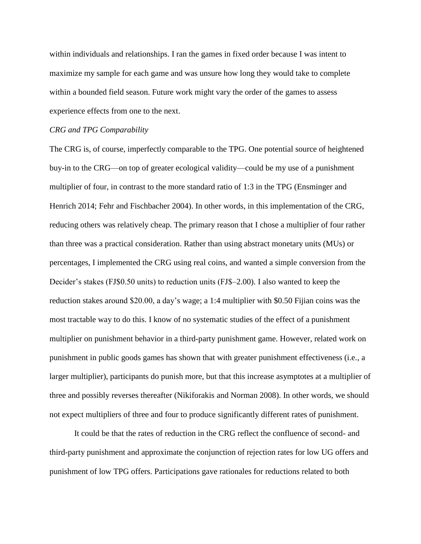within individuals and relationships. I ran the games in fixed order because I was intent to maximize my sample for each game and was unsure how long they would take to complete within a bounded field season. Future work might vary the order of the games to assess experience effects from one to the next.

## *CRG and TPG Comparability*

The CRG is, of course, imperfectly comparable to the TPG. One potential source of heightened buy-in to the CRG—on top of greater ecological validity—could be my use of a punishment multiplier of four, in contrast to the more standard ratio of 1:3 in the TPG (Ensminger and Henrich 2014; Fehr and Fischbacher 2004). In other words, in this implementation of the CRG, reducing others was relatively cheap. The primary reason that I chose a multiplier of four rather than three was a practical consideration. Rather than using abstract monetary units (MUs) or percentages, I implemented the CRG using real coins, and wanted a simple conversion from the Decider's stakes (FJ\$0.50 units) to reduction units (FJ\$–2.00). I also wanted to keep the reduction stakes around \$20.00, a day's wage; a 1:4 multiplier with \$0.50 Fijian coins was the most tractable way to do this. I know of no systematic studies of the effect of a punishment multiplier on punishment behavior in a third-party punishment game. However, related work on punishment in public goods games has shown that with greater punishment effectiveness (i.e., a larger multiplier), participants do punish more, but that this increase asymptotes at a multiplier of three and possibly reverses thereafter (Nikiforakis and Norman 2008). In other words, we should not expect multipliers of three and four to produce significantly different rates of punishment.

It could be that the rates of reduction in the CRG reflect the confluence of second- and third-party punishment and approximate the conjunction of rejection rates for low UG offers and punishment of low TPG offers. Participations gave rationales for reductions related to both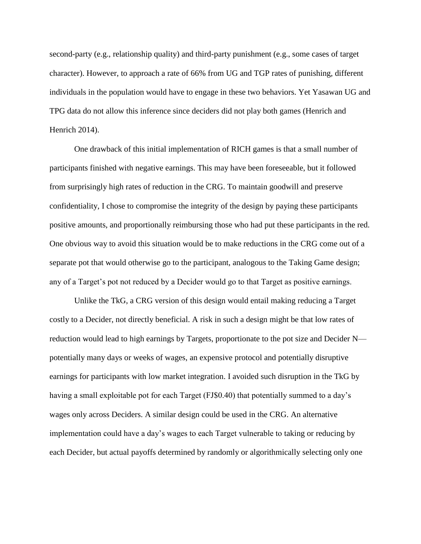second-party (e.g., relationship quality) and third-party punishment (e.g., some cases of target character). However, to approach a rate of 66% from UG and TGP rates of punishing, different individuals in the population would have to engage in these two behaviors. Yet Yasawan UG and TPG data do not allow this inference since deciders did not play both games (Henrich and Henrich 2014).

One drawback of this initial implementation of RICH games is that a small number of participants finished with negative earnings. This may have been foreseeable, but it followed from surprisingly high rates of reduction in the CRG. To maintain goodwill and preserve confidentiality, I chose to compromise the integrity of the design by paying these participants positive amounts, and proportionally reimbursing those who had put these participants in the red. One obvious way to avoid this situation would be to make reductions in the CRG come out of a separate pot that would otherwise go to the participant, analogous to the Taking Game design; any of a Target's pot not reduced by a Decider would go to that Target as positive earnings.

Unlike the TkG, a CRG version of this design would entail making reducing a Target costly to a Decider, not directly beneficial. A risk in such a design might be that low rates of reduction would lead to high earnings by Targets, proportionate to the pot size and Decider N potentially many days or weeks of wages, an expensive protocol and potentially disruptive earnings for participants with low market integration. I avoided such disruption in the TkG by having a small exploitable pot for each Target (FJ\$0.40) that potentially summed to a day's wages only across Deciders. A similar design could be used in the CRG. An alternative implementation could have a day's wages to each Target vulnerable to taking or reducing by each Decider, but actual payoffs determined by randomly or algorithmically selecting only one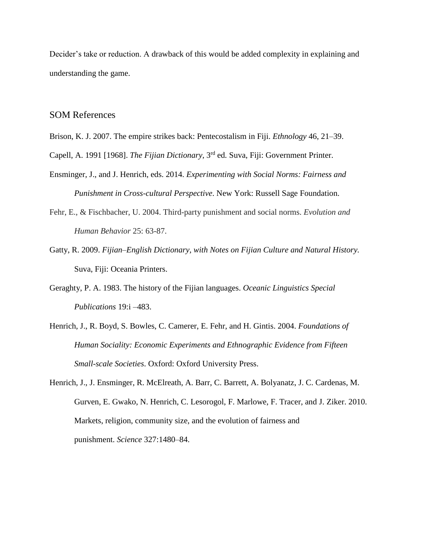Decider's take or reduction. A drawback of this would be added complexity in explaining and understanding the game.

## SOM References

- Brison, K. J. 2007. The empire strikes back: Pentecostalism in Fiji. *Ethnology* 46, 21–39.
- Capell, A. 1991 [1968]. *The Fijian Dictionary*, 3rd ed*.* Suva, Fiji: Government Printer.
- Ensminger, J., and J. Henrich, eds. 2014. *Experimenting with Social Norms: Fairness and Punishment in Cross-cultural Perspective*. New York: Russell Sage Foundation.
- Fehr, E., & Fischbacher, U. 2004. Third-party punishment and social norms. *Evolution and Human Behavior* 25: 63-87.
- Gatty, R. 2009. *Fijian*–*English Dictionary, with Notes on Fijian Culture and Natural History.*  Suva, Fiji: Oceania Printers.
- Geraghty, P. A. 1983. The history of the Fijian languages. *Oceanic Linguistics Special Publications* 19:i –483.
- Henrich, J., R. Boyd, S. Bowles, C. Camerer, E. Fehr, and H. Gintis. 2004. *Foundations of Human Sociality: Economic Experiments and Ethnographic Evidence from Fifteen Small-scale Societies*. Oxford: Oxford University Press.
- Henrich, J., J. Ensminger, R. McElreath, A. Barr, C. Barrett, A. Bolyanatz, J. C. Cardenas, M. Gurven, E. Gwako, N. Henrich, C. Lesorogol, F. Marlowe, F. Tracer, and J. Ziker. 2010. Markets, religion, community size, and the evolution of fairness and punishment. *Science* 327:1480–84.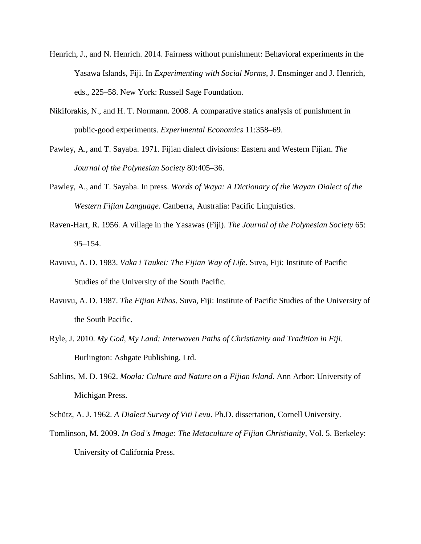- Henrich, J., and N. Henrich. 2014. Fairness without punishment: Behavioral experiments in the Yasawa Islands, Fiji. In *Experimenting with Social Norms*, J. Ensminger and J. Henrich, eds., 225–58. New York: Russell Sage Foundation.
- Nikiforakis, N., and H. T. Normann. 2008. A comparative statics analysis of punishment in public-good experiments. *Experimental Economics* 11:358–69.
- Pawley, A., and T. Sayaba. 1971. Fijian dialect divisions: Eastern and Western Fijian. *The Journal of the Polynesian Society* 80:405–36.
- Pawley, A., and T. Sayaba. In press. *Words of Waya: A Dictionary of the Wayan Dialect of the Western Fijian Language.* Canberra, Australia: Pacific Linguistics.
- Raven-Hart, R. 1956. A village in the Yasawas (Fiji). *The Journal of the Polynesian Society* 65: 95–154.
- Ravuvu, A. D. 1983. *Vaka i Taukei: The Fijian Way of Life*. Suva, Fiji: Institute of Pacific Studies of the University of the South Pacific.
- Ravuvu, A. D. 1987. *The Fijian Ethos*. Suva, Fiji: Institute of Pacific Studies of the University of the South Pacific.
- Ryle, J. 2010. *My God, My Land: Interwoven Paths of Christianity and Tradition in Fiji*. Burlington: Ashgate Publishing, Ltd.
- Sahlins, M. D. 1962. *Moala: Culture and Nature on a Fijian Island*. Ann Arbor: University of Michigan Press.
- Schütz, A. J. 1962. *A Dialect Survey of Viti Levu*. Ph.D. dissertation, Cornell University.
- Tomlinson, M. 2009. *In God's Image: The Metaculture of Fijian Christianity*, Vol. 5. Berkeley: University of California Press.